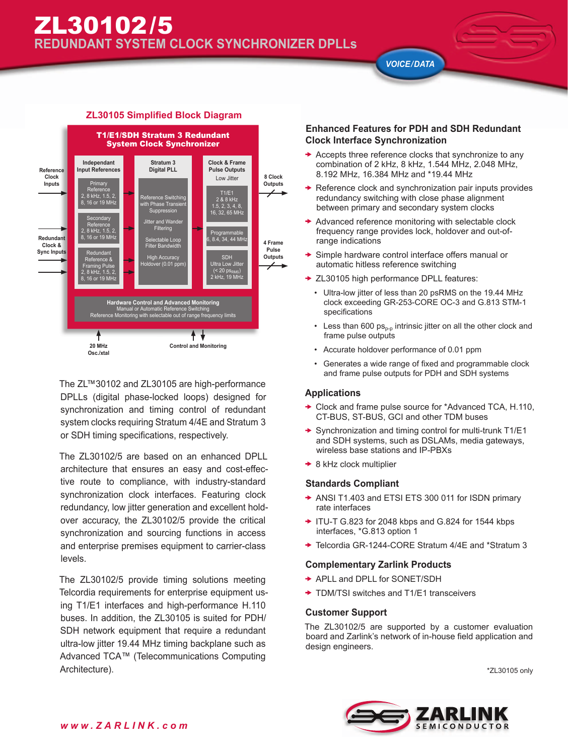*VOICE/DATA*



# **ZL30105 Simplified Block Diagram**

The ZL™30102 and ZL30105 are high-performance DPLLs (digital phase-locked loops) designed for synchronization and timing control of redundant system clocks requiring Stratum 4/4E and Stratum 3 or SDH timing specifications, respectively.

The ZL30102/5 are based on an enhanced DPLL architecture that ensures an easy and cost-effective route to compliance, with industry-standard synchronization clock interfaces. Featuring clock redundancy, low jitter generation and excellent holdover accuracy, the ZL30102/5 provide the critical synchronization and sourcing functions in access and enterprise premises equipment to carrier-class levels.

The ZL30102/5 provide timing solutions meeting Telcordia requirements for enterprise equipment using T1/E1 interfaces and high-performance H.110 buses. In addition, the ZL30105 is suited for PDH/ SDH network equipment that require a redundant ultra-low jitter 19.44 MHz timing backplane such as Advanced TCA™ (Telecommunications Computing Architecture).

## **Enhanced Features for PDH and SDH Redundant Clock Interface Synchronization**

- $\rightarrow$  Accepts three reference clocks that synchronize to any combination of 2 kHz, 8 kHz, 1.544 MHz, 2.048 MHz, 8.192 MHz, 16.384 MHz and \*19.44 MHz
- $\rightarrow$  Reference clock and synchronization pair inputs provides redundancy switching with close phase alignment between primary and secondary system clocks
- Advanced reference monitoring with selectable clock frequency range provides lock, holdover and out-ofrange indications
- Simple hardware control interface offers manual or automatic hitless reference switching
- ◆ ZL30105 high performance DPLL features:
	- Ultra-low jitter of less than 20 psRMS on the 19.44 MHz clock exceeding GR-253-CORE OC-3 and G.813 STM-1 specifications
	- Less than 600  $ps_{p-p}$  intrinsic jitter on all the other clock and frame pulse outputs
	- Accurate holdover performance of 0.01 ppm
	- Generates a wide range of fixed and programmable clock and frame pulse outputs for PDH and SDH systems

### **Applications**

- ◆ Clock and frame pulse source for \*Advanced TCA, H.110, CT-BUS, ST-BUS, GCI and other TDM buses
- ◆ Synchronization and timing control for multi-trunk T1/E1 and SDH systems, such as DSLAMs, media gateways, wireless base stations and IP-PBXs
- **★ 8 kHz clock multiplier**

### **Standards Compliant**

- ◆ ANSI T1.403 and ETSI ETS 300 011 for ISDN primary rate interfaces
- $\rightarrow$  ITU-T G.823 for 2048 kbps and G.824 for 1544 kbps interfaces, \*G.813 option 1
- ◆ Telcordia GR-1244-CORE Stratum 4/4E and \*Stratum 3

### **Complementary Zarlink Products**

- **→ APLL and DPLL for SONET/SDH**
- ◆ TDM/TSI switches and T1/E1 transceivers

### **Customer Support**

The ZL30102/5 are supported by a customer evaluation board and Zarlink's network of in-house field application and design engineers.

\*ZL30105 only